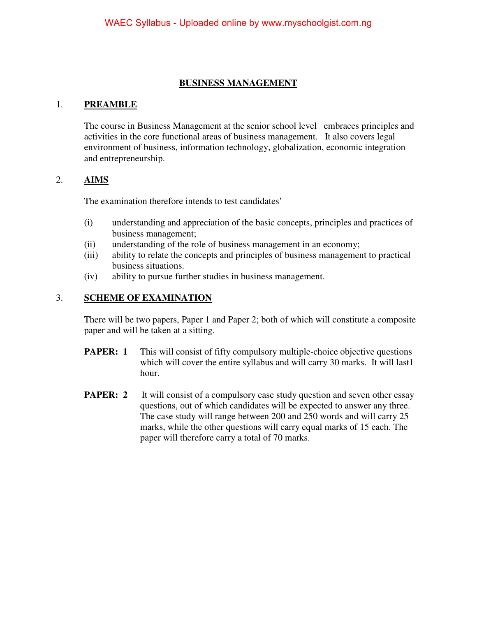### **BUSINESS MANAGEMENT**

#### 1. **PREAMBLE**

The course in Business Management at the senior school level embraces principles and activities in the core functional areas of business management. It also covers legal environment of business, information technology, globalization, economic integration and entrepreneurship.

#### 2. **AIMS**

The examination therefore intends to test candidates'

- (i) understanding and appreciation of the basic concepts, principles and practices of business management;
- (ii) understanding of the role of business management in an economy;
- (iii) ability to relate the concepts and principles of business management to practical business situations.
- (iv) ability to pursue further studies in business management.

#### 3. **SCHEME OF EXAMINATION**

There will be two papers, Paper 1 and Paper 2; both of which will constitute a composite paper and will be taken at a sitting.

- **PAPER:** 1 This will consist of fifty compulsory multiple-choice objective questions which will cover the entire syllabus and will carry 30 marks. It will last1 hour.
- **PAPER: 2** It will consist of a compulsory case study question and seven other essay questions, out of which candidates will be expected to answer any three. The case study will range between 200 and 250 words and will carry 25 marks, while the other questions will carry equal marks of 15 each. The paper will therefore carry a total of 70 marks.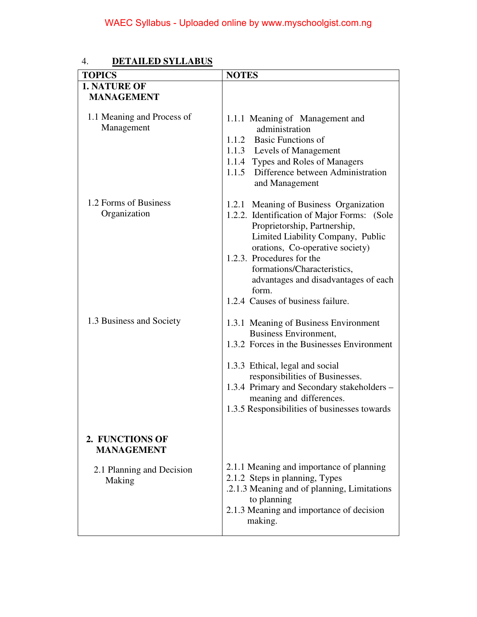### 4. **DETAILED SYLLABUS**

| <b>TOPICS</b>                            | <b>NOTES</b>                                                                                                                                                                                                                                                                                                                                    |
|------------------------------------------|-------------------------------------------------------------------------------------------------------------------------------------------------------------------------------------------------------------------------------------------------------------------------------------------------------------------------------------------------|
| <b>1. NATURE OF</b><br><b>MANAGEMENT</b> |                                                                                                                                                                                                                                                                                                                                                 |
| 1.1 Meaning and Process of<br>Management | 1.1.1 Meaning of Management and<br>administration<br>1.1.2 Basic Functions of<br>1.1.3 Levels of Management<br>1.1.4 Types and Roles of Managers<br>1.1.5 Difference between Administration<br>and Management                                                                                                                                   |
| 1.2 Forms of Business<br>Organization    | 1.2.1 Meaning of Business Organization<br>1.2.2. Identification of Major Forms: (Sole<br>Proprietorship, Partnership,<br>Limited Liability Company, Public<br>orations, Co-operative society)<br>1.2.3. Procedures for the<br>formations/Characteristics,<br>advantages and disadvantages of each<br>form.<br>1.2.4 Causes of business failure. |
| 1.3 Business and Society                 | 1.3.1 Meaning of Business Environment<br><b>Business Environment,</b><br>1.3.2 Forces in the Businesses Environment<br>1.3.3 Ethical, legal and social<br>responsibilities of Businesses.<br>1.3.4 Primary and Secondary stakeholders -<br>meaning and differences.<br>1.3.5 Responsibilities of businesses towards                             |
| 2. FUNCTIONS OF<br><b>MANAGEMENT</b>     |                                                                                                                                                                                                                                                                                                                                                 |
| 2.1 Planning and Decision<br>Making      | 2.1.1 Meaning and importance of planning<br>2.1.2 Steps in planning, Types<br>.2.1.3 Meaning and of planning, Limitations<br>to planning<br>2.1.3 Meaning and importance of decision<br>making.                                                                                                                                                 |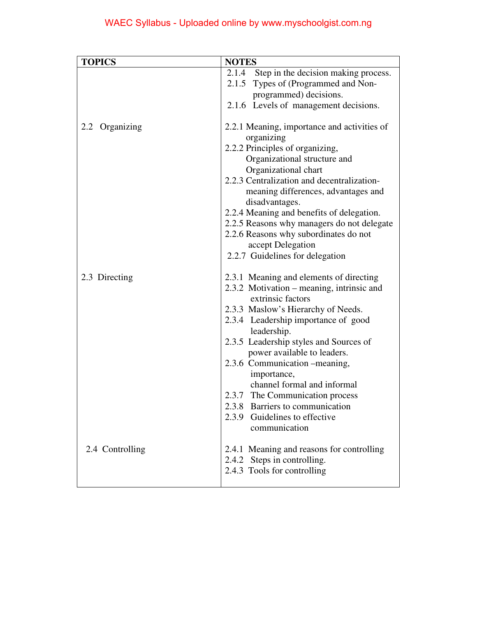| <b>TOPICS</b>   | <b>NOTES</b>                                              |  |  |
|-----------------|-----------------------------------------------------------|--|--|
|                 | Step in the decision making process.<br>2.1.4             |  |  |
|                 | Types of (Programmed and Non-<br>2.1.5                    |  |  |
|                 | programmed) decisions.                                    |  |  |
|                 | 2.1.6 Levels of management decisions.                     |  |  |
| 2.2 Organizing  | 2.2.1 Meaning, importance and activities of<br>organizing |  |  |
|                 | 2.2.2 Principles of organizing,                           |  |  |
|                 | Organizational structure and                              |  |  |
|                 | Organizational chart                                      |  |  |
|                 | 2.2.3 Centralization and decentralization-                |  |  |
|                 | meaning differences, advantages and<br>disadvantages.     |  |  |
|                 | 2.2.4 Meaning and benefits of delegation.                 |  |  |
|                 | 2.2.5 Reasons why managers do not delegate                |  |  |
|                 | 2.2.6 Reasons why subordinates do not                     |  |  |
|                 | accept Delegation                                         |  |  |
|                 | 2.2.7 Guidelines for delegation                           |  |  |
| 2.3 Directing   | 2.3.1 Meaning and elements of directing                   |  |  |
|                 | 2.3.2 Motivation – meaning, intrinsic and                 |  |  |
|                 | extrinsic factors                                         |  |  |
|                 | 2.3.3 Maslow's Hierarchy of Needs.                        |  |  |
|                 | 2.3.4 Leadership importance of good<br>leadership.        |  |  |
|                 | 2.3.5 Leadership styles and Sources of                    |  |  |
|                 | power available to leaders.                               |  |  |
|                 | 2.3.6 Communication –meaning,                             |  |  |
|                 | importance,                                               |  |  |
|                 | channel formal and informal                               |  |  |
|                 | 2.3.7 The Communication process                           |  |  |
|                 | 2.3.8 Barriers to communication                           |  |  |
|                 | 2.3.9 Guidelines to effective                             |  |  |
|                 | communication                                             |  |  |
| 2.4 Controlling | 2.4.1 Meaning and reasons for controlling                 |  |  |
|                 | 2.4.2 Steps in controlling.                               |  |  |
|                 | 2.4.3 Tools for controlling                               |  |  |
|                 |                                                           |  |  |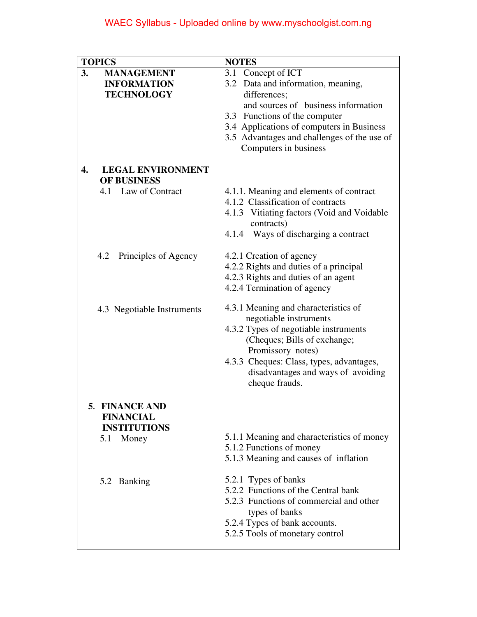| <b>TOPICS</b>                                | <b>NOTES</b>                                |  |  |
|----------------------------------------------|---------------------------------------------|--|--|
| 3.<br><b>MANAGEMENT</b>                      | 3.1 Concept of ICT                          |  |  |
| <b>INFORMATION</b>                           | 3.2 Data and information, meaning,          |  |  |
| <b>TECHNOLOGY</b>                            | differences;                                |  |  |
|                                              | and sources of business information         |  |  |
|                                              | 3.3 Functions of the computer               |  |  |
|                                              | 3.4 Applications of computers in Business   |  |  |
|                                              | 3.5 Advantages and challenges of the use of |  |  |
|                                              | Computers in business                       |  |  |
|                                              |                                             |  |  |
| $\overline{4}$ .<br><b>LEGAL ENVIRONMENT</b> |                                             |  |  |
| <b>OF BUSINESS</b>                           |                                             |  |  |
| 4.1 Law of Contract                          | 4.1.1. Meaning and elements of contract     |  |  |
|                                              | 4.1.2 Classification of contracts           |  |  |
|                                              | 4.1.3 Vitiating factors (Void and Voidable  |  |  |
|                                              | contracts)                                  |  |  |
|                                              | 4.1.4 Ways of discharging a contract        |  |  |
|                                              |                                             |  |  |
| Principles of Agency<br>4.2                  | 4.2.1 Creation of agency                    |  |  |
|                                              | 4.2.2 Rights and duties of a principal      |  |  |
|                                              | 4.2.3 Rights and duties of an agent         |  |  |
|                                              | 4.2.4 Termination of agency                 |  |  |
|                                              |                                             |  |  |
| 4.3 Negotiable Instruments                   | 4.3.1 Meaning and characteristics of        |  |  |
|                                              | negotiable instruments                      |  |  |
|                                              | 4.3.2 Types of negotiable instruments       |  |  |
|                                              | (Cheques; Bills of exchange;                |  |  |
|                                              | Promissory notes)                           |  |  |
|                                              | 4.3.3 Cheques: Class, types, advantages,    |  |  |
|                                              | disadvantages and ways of avoiding          |  |  |
|                                              | cheque frauds.                              |  |  |
|                                              |                                             |  |  |
| 5. FINANCE AND                               |                                             |  |  |
| <b>FINANCIAL</b>                             |                                             |  |  |
| <b>INSTITUTIONS</b>                          |                                             |  |  |
| 5.1 Money                                    | 5.1.1 Meaning and characteristics of money  |  |  |
|                                              | 5.1.2 Functions of money                    |  |  |
|                                              | 5.1.3 Meaning and causes of inflation       |  |  |
|                                              |                                             |  |  |
| 5.2 Banking                                  | 5.2.1 Types of banks                        |  |  |
|                                              | 5.2.2 Functions of the Central bank         |  |  |
|                                              | 5.2.3 Functions of commercial and other     |  |  |
|                                              | types of banks                              |  |  |
|                                              | 5.2.4 Types of bank accounts.               |  |  |
|                                              | 5.2.5 Tools of monetary control             |  |  |
|                                              |                                             |  |  |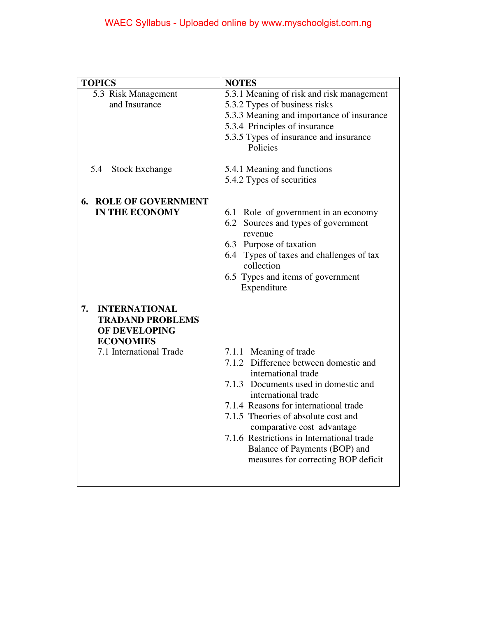| <b>TOPICS</b>                                                                                                         | <b>NOTES</b>                                                                                                                                                                                                                                                                                                                                                                             |
|-----------------------------------------------------------------------------------------------------------------------|------------------------------------------------------------------------------------------------------------------------------------------------------------------------------------------------------------------------------------------------------------------------------------------------------------------------------------------------------------------------------------------|
| 5.3 Risk Management<br>and Insurance                                                                                  | 5.3.1 Meaning of risk and risk management<br>5.3.2 Types of business risks<br>5.3.3 Meaning and importance of insurance<br>5.3.4 Principles of insurance<br>5.3.5 Types of insurance and insurance<br>Policies                                                                                                                                                                           |
| 5.4<br><b>Stock Exchange</b>                                                                                          | 5.4.1 Meaning and functions<br>5.4.2 Types of securities                                                                                                                                                                                                                                                                                                                                 |
| <b>ROLE OF GOVERNMENT</b><br>6.<br><b>IN THE ECONOMY</b>                                                              | 6.1 Role of government in an economy<br>6.2 Sources and types of government<br>revenue<br>6.3 Purpose of taxation<br>6.4 Types of taxes and challenges of tax<br>collection<br>6.5 Types and items of government<br>Expenditure                                                                                                                                                          |
| 7.<br><b>INTERNATIONAL</b><br><b>TRADAND PROBLEMS</b><br>OF DEVELOPING<br><b>ECONOMIES</b><br>7.1 International Trade | 7.1.1 Meaning of trade<br>7.1.2 Difference between domestic and<br>international trade<br>7.1.3 Documents used in domestic and<br>international trade<br>7.1.4 Reasons for international trade<br>7.1.5 Theories of absolute cost and<br>comparative cost advantage<br>7.1.6 Restrictions in International trade<br>Balance of Payments (BOP) and<br>measures for correcting BOP deficit |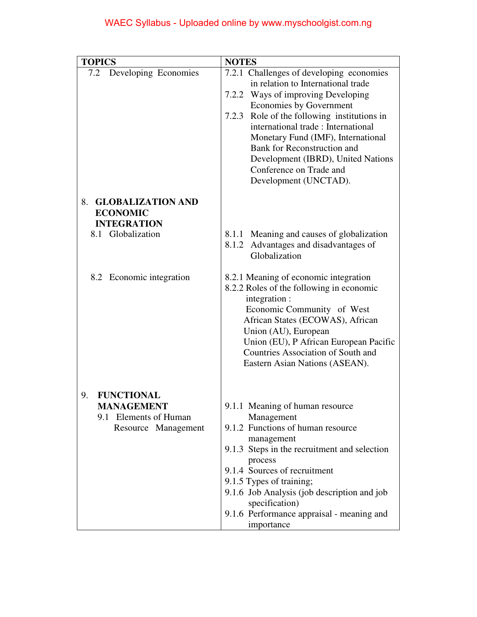| <b>TOPICS</b>                                                                                | <b>NOTES</b>                                                                                                                                                                                                                                                                                                                                                                                           |  |  |
|----------------------------------------------------------------------------------------------|--------------------------------------------------------------------------------------------------------------------------------------------------------------------------------------------------------------------------------------------------------------------------------------------------------------------------------------------------------------------------------------------------------|--|--|
| Developing Economies<br>7.2                                                                  | 7.2.1 Challenges of developing economies<br>in relation to International trade<br>7.2.2 Ways of improving Developing<br>Economies by Government<br>Role of the following institutions in<br>7.2.3<br>international trade: International<br>Monetary Fund (IMF), International<br>Bank for Reconstruction and<br>Development (IBRD), United Nations<br>Conference on Trade and<br>Development (UNCTAD). |  |  |
| <b>GLOBALIZATION AND</b><br>8.<br><b>ECONOMIC</b>                                            |                                                                                                                                                                                                                                                                                                                                                                                                        |  |  |
| <b>INTEGRATION</b>                                                                           |                                                                                                                                                                                                                                                                                                                                                                                                        |  |  |
| 8.1 Globalization                                                                            | Meaning and causes of globalization<br>8.1.1<br>8.1.2 Advantages and disadvantages of<br>Globalization                                                                                                                                                                                                                                                                                                 |  |  |
| 8.2 Economic integration                                                                     | 8.2.1 Meaning of economic integration<br>8.2.2 Roles of the following in economic<br>integration :<br>Economic Community of West<br>African States (ECOWAS), African<br>Union (AU), European<br>Union (EU), P African European Pacific<br>Countries Association of South and<br>Eastern Asian Nations (ASEAN).                                                                                         |  |  |
| <b>FUNCTIONAL</b><br>9.<br><b>MANAGEMENT</b><br>9.1 Elements of Human<br>Resource Management | 9.1.1 Meaning of human resource<br>Management<br>9.1.2 Functions of human resource<br>management<br>9.1.3 Steps in the recruitment and selection<br>process<br>9.1.4 Sources of recruitment<br>9.1.5 Types of training;<br>9.1.6 Job Analysis (job description and job<br>specification)<br>9.1.6 Performance appraisal - meaning and<br>importance                                                    |  |  |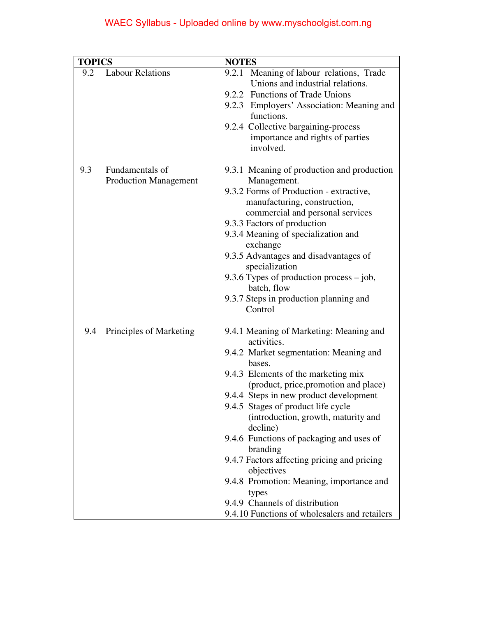| <b>TOPICS</b> |                                                 | <b>NOTES</b>                                                                                                                                                                                                                                                                                                                                                                                                                                                                                                                                                                               |
|---------------|-------------------------------------------------|--------------------------------------------------------------------------------------------------------------------------------------------------------------------------------------------------------------------------------------------------------------------------------------------------------------------------------------------------------------------------------------------------------------------------------------------------------------------------------------------------------------------------------------------------------------------------------------------|
| 9.2           | <b>Labour Relations</b>                         | 9.2.1 Meaning of labour relations, Trade<br>Unions and industrial relations.<br>9.2.2 Functions of Trade Unions<br>9.2.3 Employers' Association: Meaning and<br>functions.<br>9.2.4 Collective bargaining-process<br>importance and rights of parties<br>involved.                                                                                                                                                                                                                                                                                                                         |
| 9.3           | Fundamentals of<br><b>Production Management</b> | 9.3.1 Meaning of production and production<br>Management.<br>9.3.2 Forms of Production - extractive,<br>manufacturing, construction,<br>commercial and personal services<br>9.3.3 Factors of production<br>9.3.4 Meaning of specialization and<br>exchange<br>9.3.5 Advantages and disadvantages of<br>specialization<br>9.3.6 Types of production process $-$ job,<br>batch, flow<br>9.3.7 Steps in production planning and<br>Control                                                                                                                                                    |
| 9.4           | Principles of Marketing                         | 9.4.1 Meaning of Marketing: Meaning and<br>activities.<br>9.4.2 Market segmentation: Meaning and<br>bases.<br>9.4.3 Elements of the marketing mix<br>(product, price, promotion and place)<br>9.4.4 Steps in new product development<br>9.4.5 Stages of product life cycle<br>(introduction, growth, maturity and<br>decline)<br>9.4.6 Functions of packaging and uses of<br>branding<br>9.4.7 Factors affecting pricing and pricing<br>objectives<br>9.4.8 Promotion: Meaning, importance and<br>types<br>9.4.9 Channels of distribution<br>9.4.10 Functions of wholesalers and retailers |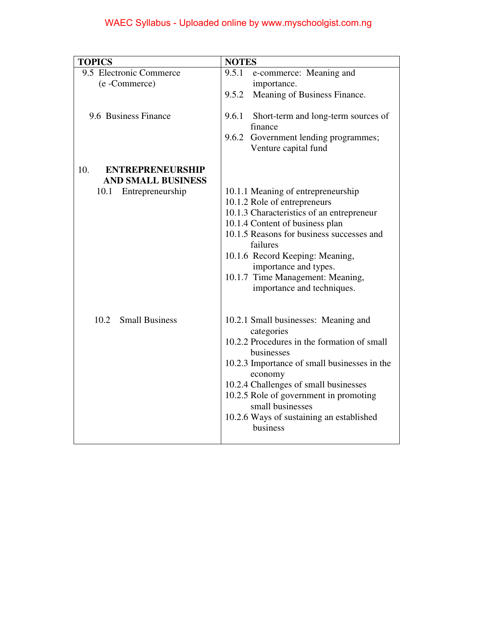| <b>TOPICS</b>                                         | <b>NOTES</b>                                                                                                                                                                                                                                                                                                                              |  |
|-------------------------------------------------------|-------------------------------------------------------------------------------------------------------------------------------------------------------------------------------------------------------------------------------------------------------------------------------------------------------------------------------------------|--|
| 9.5 Electronic Commerce                               | 9.5.1<br>e-commerce: Meaning and                                                                                                                                                                                                                                                                                                          |  |
| (e-Commerce)                                          | importance.                                                                                                                                                                                                                                                                                                                               |  |
|                                                       | 9.5.2<br>Meaning of Business Finance.                                                                                                                                                                                                                                                                                                     |  |
| 9.6 Business Finance                                  | 9.6.1<br>Short-term and long-term sources of<br>finance                                                                                                                                                                                                                                                                                   |  |
|                                                       | 9.6.2 Government lending programmes;<br>Venture capital fund                                                                                                                                                                                                                                                                              |  |
| 10.<br><b>ENTREPRENEURSHIP</b>                        |                                                                                                                                                                                                                                                                                                                                           |  |
| <b>AND SMALL BUSINESS</b><br>Entrepreneurship<br>10.1 | 10.1.1 Meaning of entrepreneurship<br>10.1.2 Role of entrepreneurs<br>10.1.3 Characteristics of an entrepreneur<br>10.1.4 Content of business plan<br>10.1.5 Reasons for business successes and<br>failures<br>10.1.6 Record Keeping: Meaning,<br>importance and types.<br>10.1.7 Time Management: Meaning,<br>importance and techniques. |  |
| 10.2<br><b>Small Business</b>                         | 10.2.1 Small businesses: Meaning and<br>categories<br>10.2.2 Procedures in the formation of small<br>businesses<br>10.2.3 Importance of small businesses in the<br>economy<br>10.2.4 Challenges of small businesses<br>10.2.5 Role of government in promoting<br>small businesses<br>10.2.6 Ways of sustaining an established<br>business |  |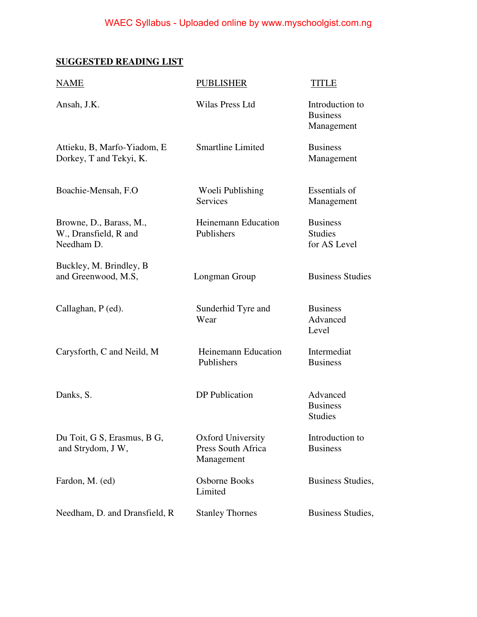### **SUGGESTED READING LIST**

| NAME                                                           | <b>PUBLISHER</b>                                             | TITLE                                             |
|----------------------------------------------------------------|--------------------------------------------------------------|---------------------------------------------------|
| Ansah, J.K.                                                    | Wilas Press Ltd                                              | Introduction to<br><b>Business</b><br>Management  |
| Attieku, B, Marfo-Yiadom, E<br>Dorkey, T and Tekyi, K.         | <b>Smartline Limited</b>                                     | <b>Business</b><br>Management                     |
| Boachie-Mensah, F.O.                                           | Woeli Publishing<br><b>Services</b>                          | <b>Essentials of</b><br>Management                |
| Browne, D., Barass, M.,<br>W., Dransfield, R and<br>Needham D. | <b>Heinemann Education</b><br>Publishers                     | <b>Business</b><br><b>Studies</b><br>for AS Level |
| Buckley, M. Brindley, B.<br>and Greenwood, M.S,                | Longman Group                                                | <b>Business Studies</b>                           |
| Callaghan, P (ed).                                             | Sunderhid Tyre and<br>Wear                                   | <b>Business</b><br>Advanced<br>Level              |
| Carysforth, C and Neild, M                                     | <b>Heinemann Education</b><br>Publishers                     | Intermediat<br><b>Business</b>                    |
| Danks, S.                                                      | DP Publication                                               | Advanced<br><b>Business</b><br><b>Studies</b>     |
| Du Toit, G S, Erasmus, B G,<br>and Strydom, J W,               | <b>Oxford University</b><br>Press South Africa<br>Management | Introduction to<br><b>Business</b>                |
| Fardon, M. (ed)                                                | Osborne Books<br>Limited                                     | Business Studies,                                 |
| Needham, D. and Dransfield, R.                                 | <b>Stanley Thornes</b>                                       | Business Studies,                                 |